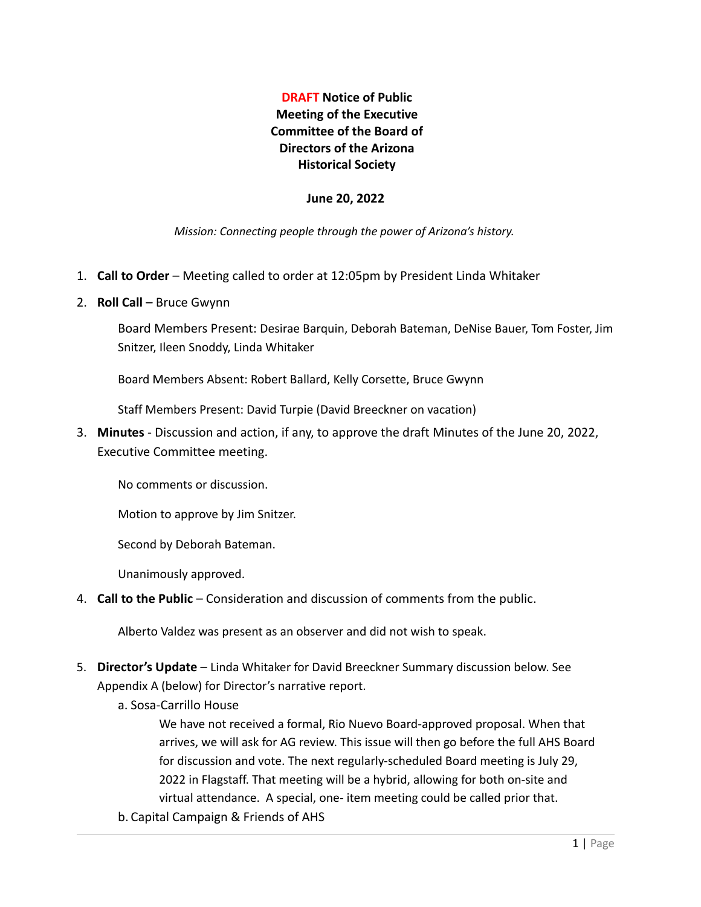# **DRAFT Notice of Public Meeting of the Executive Committee of the Board of Directors of the Arizona Historical Society**

#### **June 20, 2022**

*Mission: Connecting people through the power of Arizona's history.*

- 1. **Call to Order** Meeting called to order at 12:05pm by President Linda Whitaker
- 2. **Roll Call** Bruce Gwynn

Board Members Present: Desirae Barquin, Deborah Bateman, DeNise Bauer, Tom Foster, Jim Snitzer, Ileen Snoddy, Linda Whitaker

Board Members Absent: Robert Ballard, Kelly Corsette, Bruce Gwynn

Staff Members Present: David Turpie (David Breeckner on vacation)

3. **Minutes** - Discussion and action, if any, to approve the draft Minutes of the June 20, 2022, Executive Committee meeting.

No comments or discussion.

Motion to approve by Jim Snitzer.

Second by Deborah Bateman.

Unanimously approved.

4. **Call to the Public** – Consideration and discussion of comments from the public.

Alberto Valdez was present as an observer and did not wish to speak.

- 5. **Director's Update** Linda Whitaker for David Breeckner Summary discussion below. See Appendix A (below) for Director's narrative report.
	- a. Sosa-Carrillo House

We have not received a formal, Rio Nuevo Board-approved proposal. When that arrives, we will ask for AG review. This issue will then go before the full AHS Board for discussion and vote. The next regularly-scheduled Board meeting is July 29, 2022 in Flagstaff. That meeting will be a hybrid, allowing for both on-site and virtual attendance. A special, one- item meeting could be called prior that.

b. Capital Campaign & Friends of AHS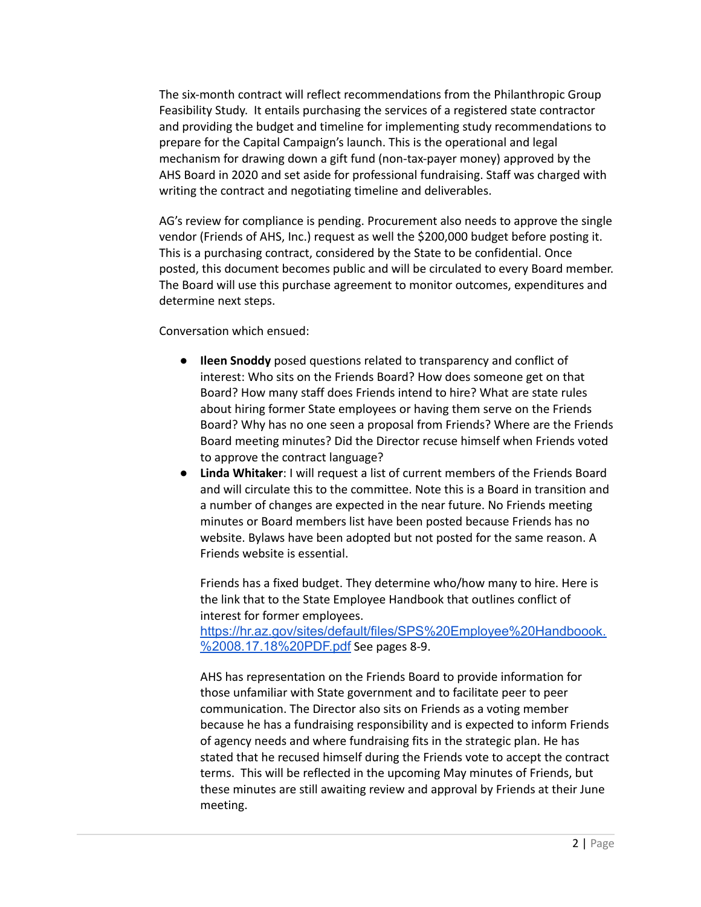The six-month contract will reflect recommendations from the Philanthropic Group Feasibility Study. It entails purchasing the services of a registered state contractor and providing the budget and timeline for implementing study recommendations to prepare for the Capital Campaign's launch. This is the operational and legal mechanism for drawing down a gift fund (non-tax-payer money) approved by the AHS Board in 2020 and set aside for professional fundraising. Staff was charged with writing the contract and negotiating timeline and deliverables.

AG's review for compliance is pending. Procurement also needs to approve the single vendor (Friends of AHS, Inc.) request as well the \$200,000 budget before posting it. This is a purchasing contract, considered by the State to be confidential. Once posted, this document becomes public and will be circulated to every Board member. The Board will use this purchase agreement to monitor outcomes, expenditures and determine next steps.

Conversation which ensued:

- **Ileen Snoddy** posed questions related to transparency and conflict of interest: Who sits on the Friends Board? How does someone get on that Board? How many staff does Friends intend to hire? What are state rules about hiring former State employees or having them serve on the Friends Board? Why has no one seen a proposal from Friends? Where are the Friends Board meeting minutes? Did the Director recuse himself when Friends voted to approve the contract language?
- **Linda Whitaker**: I will request a list of current members of the Friends Board and will circulate this to the committee. Note this is a Board in transition and a number of changes are expected in the near future. No Friends meeting minutes or Board members list have been posted because Friends has no website. Bylaws have been adopted but not posted for the same reason. A Friends website is essential.

Friends has a fixed budget. They determine who/how many to hire. Here is the link that to the State Empl[o](https://hr.az.gov/sites/default/files/SPS%20Employee%20Handboook.%2008.17.18%20PDF.pdf)yee Handbook that outlines conflict of interest for former employees.

[https://hr.az.gov/sites/default/files/SPS%20Employee%20Handboook.](https://hr.az.gov/sites/default/files/SPS%20Employee%20Handboook.%2008.17.18%20PDF.pdf) [%2008.17.18%20PDF.pdf](https://hr.az.gov/sites/default/files/SPS%20Employee%20Handboook.%2008.17.18%20PDF.pdf) See pages 8-9.

AHS has representation on the Friends Board to provide information for those unfamiliar with State government and to facilitate peer to peer communication. The Director also sits on Friends as a voting member because he has a fundraising responsibility and is expected to inform Friends of agency needs and where fundraising fits in the strategic plan. He has stated that he recused himself during the Friends vote to accept the contract terms. This will be reflected in the upcoming May minutes of Friends, but these minutes are still awaiting review and approval by Friends at their June meeting.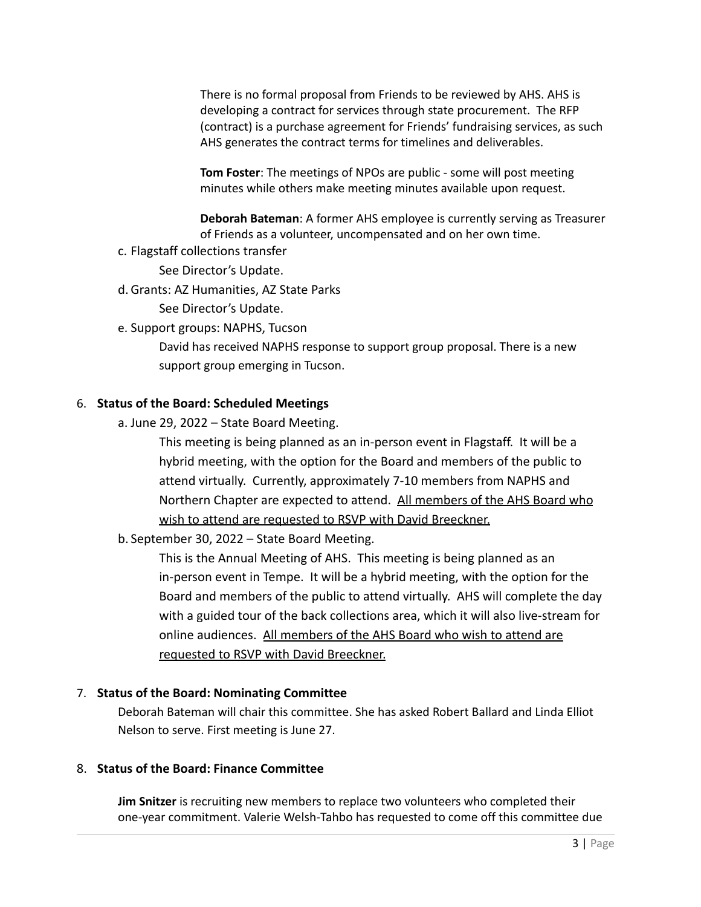There is no formal proposal from Friends to be reviewed by AHS. AHS is developing a contract for services through state procurement. The RFP (contract) is a purchase agreement for Friends' fundraising services, as such AHS generates the contract terms for timelines and deliverables.

**Tom Foster**: The meetings of NPOs are public - some will post meeting minutes while others make meeting minutes available upon request.

**Deborah Bateman**: A former AHS employee is currently serving as Treasurer of Friends as a volunteer, uncompensated and on her own time.

c. Flagstaff collections transfer

See Director's Update.

d. Grants: AZ Humanities, AZ State Parks

See Director's Update.

e. Support groups: NAPHS, Tucson

David has received NAPHS response to support group proposal. There is a new support group emerging in Tucson.

### 6. **Status of the Board: Scheduled Meetings**

a. June 29, 2022 – State Board Meeting.

This meeting is being planned as an in-person event in Flagstaff. It will be a hybrid meeting, with the option for the Board and members of the public to attend virtually. Currently, approximately 7-10 members from NAPHS and Northern Chapter are expected to attend. All members of the AHS Board who wish to attend are requested to RSVP with David Breeckner.

b. September 30, 2022 – State Board Meeting.

This is the Annual Meeting of AHS. This meeting is being planned as an in-person event in Tempe. It will be a hybrid meeting, with the option for the Board and members of the public to attend virtually. AHS will complete the day with a guided tour of the back collections area, which it will also live-stream for online audiences. All members of the AHS Board who wish to attend are requested to RSVP with David Breeckner.

#### 7. **Status of the Board: Nominating Committee**

Deborah Bateman will chair this committee. She has asked Robert Ballard and Linda Elliot Nelson to serve. First meeting is June 27.

#### 8. **Status of the Board: Finance Committee**

**Jim Snitzer** is recruiting new members to replace two volunteers who completed their one-year commitment. Valerie Welsh-Tahbo has requested to come off this committee due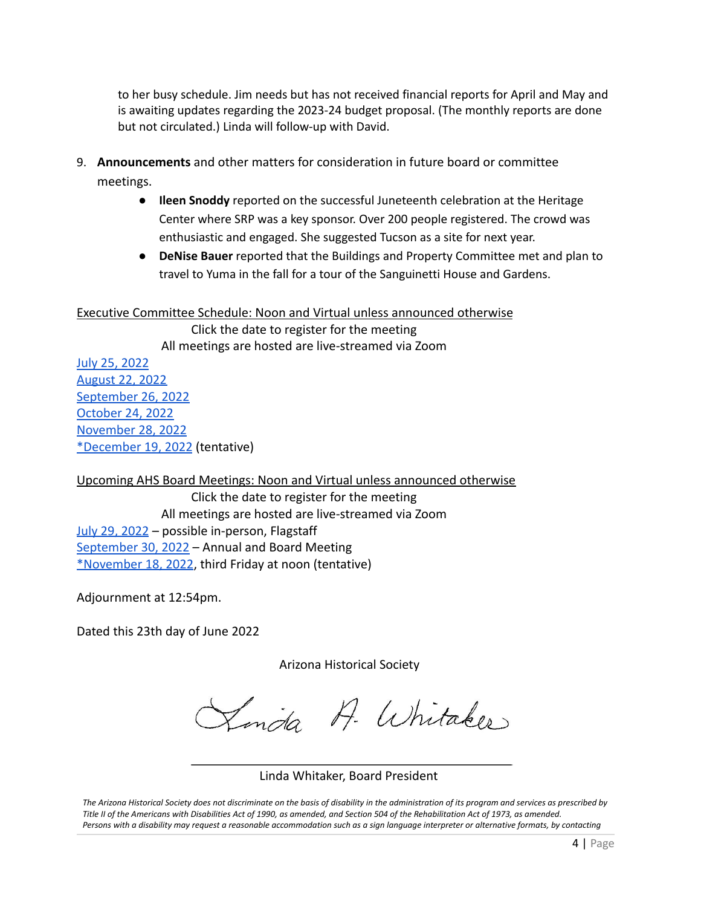to her busy schedule. Jim needs but has not received financial reports for April and May and is awaiting updates regarding the 2023-24 budget proposal. (The monthly reports are done but not circulated.) Linda will follow-up with David.

- 9. **Announcements** and other matters for consideration in future board or committee meetings.
	- **Ileen Snoddy** reported on the successful Juneteenth celebration at the Heritage Center where SRP was a key sponsor. Over 200 people registered. The crowd was enthusiastic and engaged. She suggested Tucson as a site for next year.
	- **DeNise Bauer** reported that the Buildings and Property Committee met and plan to travel to Yuma in the fall for a tour of the Sanguinetti House and Gardens.

### Executive Committee Schedule: Noon and Virtual unless announced otherwise

Click the date to register for the meeting All meetings are hosted are live-streamed via Zoom

[July 25, 2022](https://us02web.zoom.us/meeting/register/tZIlc-mgrjorE9f-DnMYrwBZcCsf9PiM63a0) [August 22, 2022](https://us02web.zoom.us/meeting/register/tZIlc-mgrjorE9f-DnMYrwBZcCsf9PiM63a0) [September 26, 2022](https://us02web.zoom.us/meeting/register/tZIlc-mgrjorE9f-DnMYrwBZcCsf9PiM63a0) [October 24, 2022](https://us02web.zoom.us/meeting/register/tZIlc-mgrjorE9f-DnMYrwBZcCsf9PiM63a0) [November 28, 2022](https://us02web.zoom.us/meeting/register/tZIlc-mgrjorE9f-DnMYrwBZcCsf9PiM63a0) [\\*December 19, 2022](https://us02web.zoom.us/meeting/register/tZIlc-mgrjorE9f-DnMYrwBZcCsf9PiM63a0) (tentative)

Upcoming AHS Board Meetings: Noon and Virtual unless announced otherwise

Click the date to register for the meeting All meetings are hosted are live-streamed via Zoom [July 29, 2022](https://us02web.zoom.us/meeting/register/tZIpceCoqT4qGdXqHaGVt1rlDL6JvWFbfB62) – possible in-person, Flagstaff [September 30, 2022](https://us02web.zoom.us/meeting/register/tZwvduytpzgjGtOAQa_mQlsIt1gPGLPjnLVS) - Annual and Board Meeting [\\*November 18, 2022](https://us02web.zoom.us/meeting/register/tZcof--prTMuE9w-sywwarz3qrH3qd1l4BpB), third Friday at noon (tentative)

Adjournment at 12:54pm.

Dated this 23th day of June 2022

Arizona Historical Society

Linda A. Whitaker

## Linda Whitaker, Board President

The Arizona Historical Society does not discriminate on the basis of disability in the administration of its program and services as prescribed by Title II of the Americans with Disabilities Act of 1990, as amended, and Section 504 of the Rehabilitation Act of 1973, as amended. Persons with a disability may request a reasonable accommodation such as a sign language interpreter or alternative formats, by contacting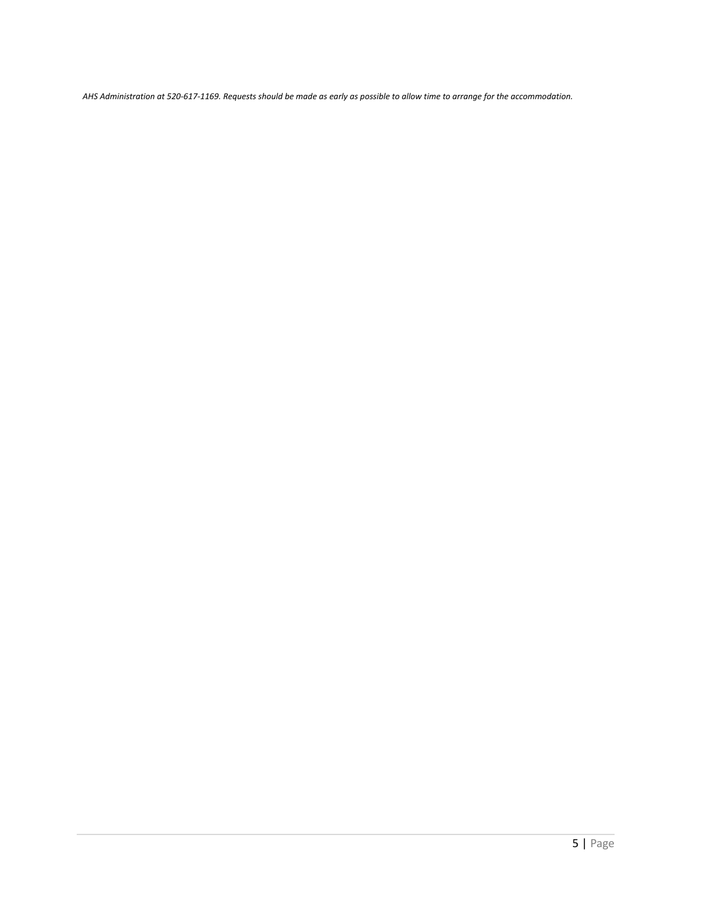AHS Administration at 520-617-1169. Requests should be made as early as possible to allow time to arrange for the accommodation.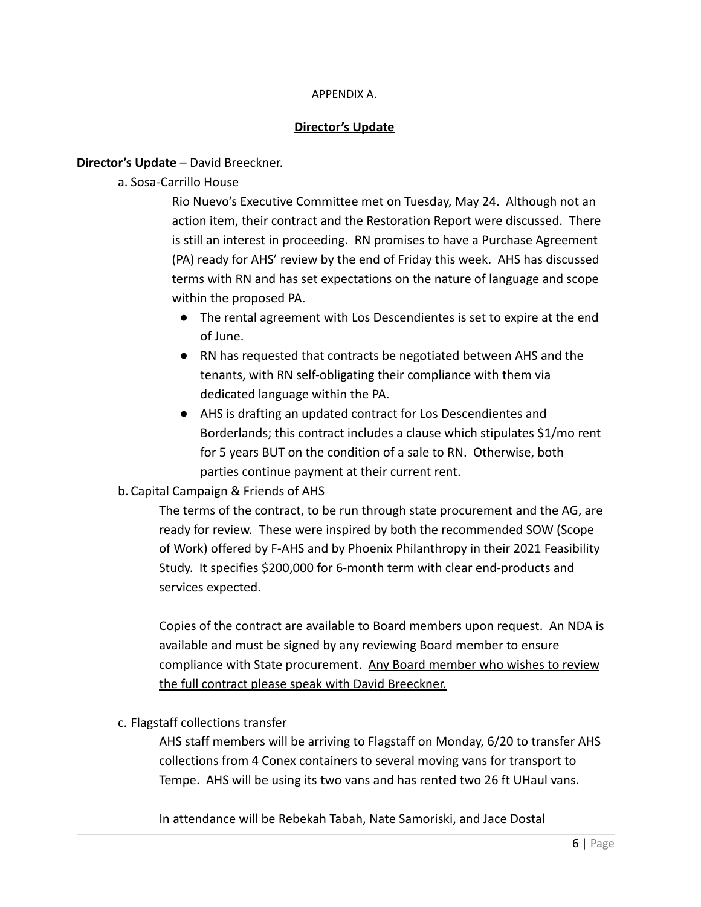### APPENDIX A.

## **Director's Update**

## **Director's Update** – David Breeckner.

a. Sosa-Carrillo House

Rio Nuevo's Executive Committee met on Tuesday, May 24. Although not an action item, their contract and the Restoration Report were discussed. There is still an interest in proceeding. RN promises to have a Purchase Agreement (PA) ready for AHS' review by the end of Friday this week. AHS has discussed terms with RN and has set expectations on the nature of language and scope within the proposed PA.

- The rental agreement with Los Descendientes is set to expire at the end of June.
- RN has requested that contracts be negotiated between AHS and the tenants, with RN self-obligating their compliance with them via dedicated language within the PA.
- AHS is drafting an updated contract for Los Descendientes and Borderlands; this contract includes a clause which stipulates \$1/mo rent for 5 years BUT on the condition of a sale to RN. Otherwise, both parties continue payment at their current rent.

## b. Capital Campaign & Friends of AHS

The terms of the contract, to be run through state procurement and the AG, are ready for review. These were inspired by both the recommended SOW (Scope of Work) offered by F-AHS and by Phoenix Philanthropy in their 2021 Feasibility Study. It specifies \$200,000 for 6-month term with clear end-products and services expected.

Copies of the contract are available to Board members upon request. An NDA is available and must be signed by any reviewing Board member to ensure compliance with State procurement. Any Board member who wishes to review the full contract please speak with David Breeckner.

c. Flagstaff collections transfer

AHS staff members will be arriving to Flagstaff on Monday, 6/20 to transfer AHS collections from 4 Conex containers to several moving vans for transport to Tempe. AHS will be using its two vans and has rented two 26 ft UHaul vans.

In attendance will be Rebekah Tabah, Nate Samoriski, and Jace Dostal